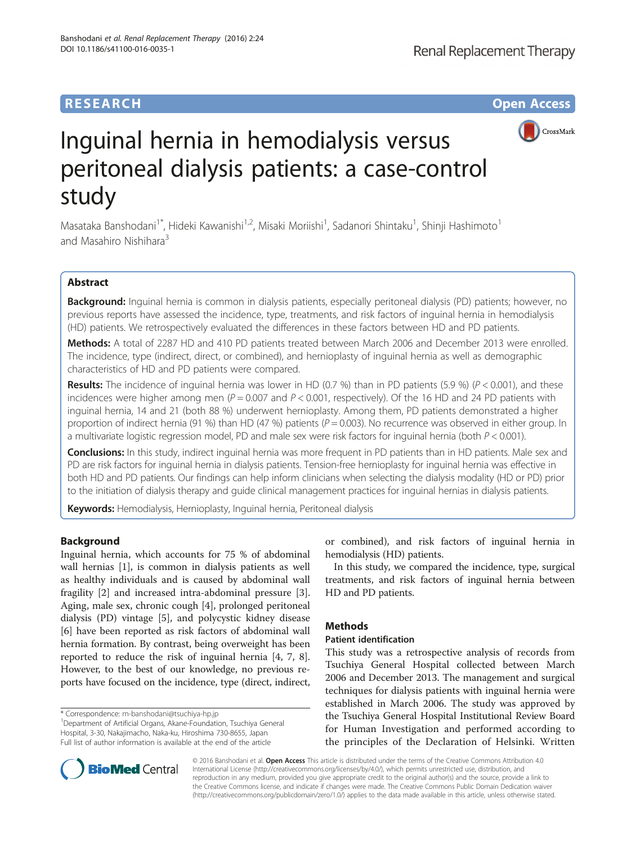

# Inguinal hernia in hemodialysis versus peritoneal dialysis patients: a case-control study

Masataka Banshodani<sup>1\*</sup>, Hideki Kawanishi<sup>1,2</sup>, Misaki Moriishi<sup>1</sup>, Sadanori Shintaku<sup>1</sup>, Shinji Hashimoto<sup>1</sup> and Masahiro Nishihara<sup>3</sup>

# Abstract

Background: Inguinal hernia is common in dialysis patients, especially peritoneal dialysis (PD) patients; however, no previous reports have assessed the incidence, type, treatments, and risk factors of inguinal hernia in hemodialysis (HD) patients. We retrospectively evaluated the differences in these factors between HD and PD patients.

Methods: A total of 2287 HD and 410 PD patients treated between March 2006 and December 2013 were enrolled. The incidence, type (indirect, direct, or combined), and hernioplasty of inguinal hernia as well as demographic characteristics of HD and PD patients were compared.

**Results:** The incidence of inguinal hernia was lower in HD (0.7 %) than in PD patients (5.9 %) ( $P < 0.001$ ), and these incidences were higher among men ( $P = 0.007$  and  $P < 0.001$ , respectively). Of the 16 HD and 24 PD patients with inguinal hernia, 14 and 21 (both 88 %) underwent hernioplasty. Among them, PD patients demonstrated a higher proportion of indirect hernia (91 %) than HD (47 %) patients ( $P = 0.003$ ). No recurrence was observed in either group. In a multivariate logistic regression model, PD and male sex were risk factors for inguinal hernia (both  $P < 0.001$ ).

Conclusions: In this study, indirect inguinal hernia was more frequent in PD patients than in HD patients. Male sex and PD are risk factors for inguinal hernia in dialysis patients. Tension-free hernioplasty for inguinal hernia was effective in both HD and PD patients. Our findings can help inform clinicians when selecting the dialysis modality (HD or PD) prior to the initiation of dialysis therapy and guide clinical management practices for inguinal hernias in dialysis patients.

**Keywords:** Hemodialysis, Hernioplasty, Inguinal hernia, Peritoneal dialysis

# Background

Inguinal hernia, which accounts for 75 % of abdominal wall hernias [\[1](#page-4-0)], is common in dialysis patients as well as healthy individuals and is caused by abdominal wall fragility [[2\]](#page-4-0) and increased intra-abdominal pressure [\[3](#page-4-0)]. Aging, male sex, chronic cough [\[4\]](#page-4-0), prolonged peritoneal dialysis (PD) vintage [\[5](#page-4-0)], and polycystic kidney disease [[6\]](#page-4-0) have been reported as risk factors of abdominal wall hernia formation. By contrast, being overweight has been reported to reduce the risk of inguinal hernia [[4, 7](#page-4-0), [8](#page-4-0)]. However, to the best of our knowledge, no previous reports have focused on the incidence, type (direct, indirect,

\* Correspondence: [m-banshodani@tsuchiya-hp.jp](mailto:m-banshodani@tsuchiya-hp.jp) <sup>1</sup>

or combined), and risk factors of inguinal hernia in hemodialysis (HD) patients.

In this study, we compared the incidence, type, surgical treatments, and risk factors of inguinal hernia between HD and PD patients.

# Methods

# Patient identification

This study was a retrospective analysis of records from Tsuchiya General Hospital collected between March 2006 and December 2013. The management and surgical techniques for dialysis patients with inguinal hernia were established in March 2006. The study was approved by the Tsuchiya General Hospital Institutional Review Board for Human Investigation and performed according to the principles of the Declaration of Helsinki. Written



© 2016 Banshodani et al. Open Access This article is distributed under the terms of the Creative Commons Attribution 4.0 International License [\(http://creativecommons.org/licenses/by/4.0/](http://creativecommons.org/licenses/by/4.0/)), which permits unrestricted use, distribution, and reproduction in any medium, provided you give appropriate credit to the original author(s) and the source, provide a link to the Creative Commons license, and indicate if changes were made. The Creative Commons Public Domain Dedication waiver [\(http://creativecommons.org/publicdomain/zero/1.0/](http://creativecommons.org/publicdomain/zero/1.0/)) applies to the data made available in this article, unless otherwise stated.

Department of Artificial Organs, Akane-Foundation, Tsuchiya General Hospital, 3-30, Nakajimacho, Naka-ku, Hiroshima 730-8655, Japan Full list of author information is available at the end of the article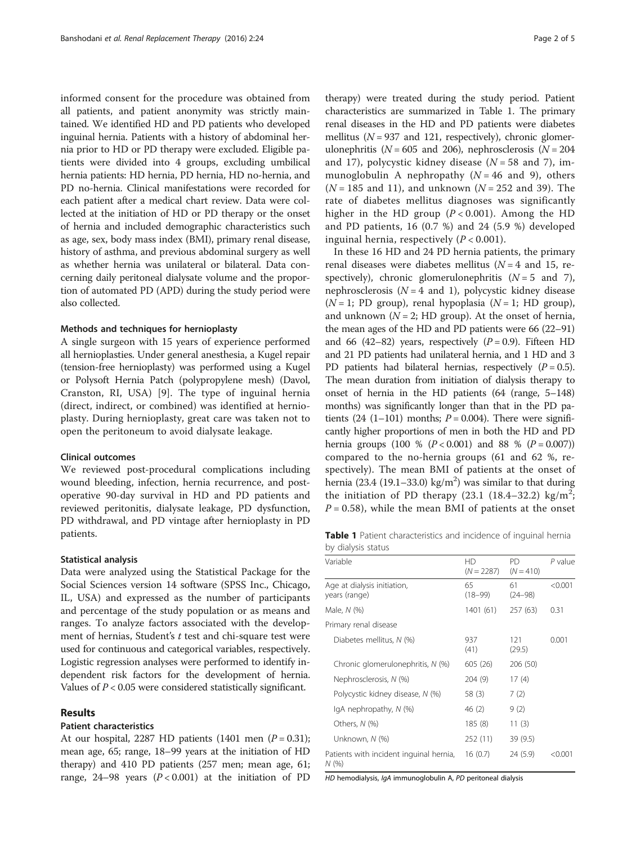informed consent for the procedure was obtained from all patients, and patient anonymity was strictly maintained. We identified HD and PD patients who developed inguinal hernia. Patients with a history of abdominal hernia prior to HD or PD therapy were excluded. Eligible patients were divided into 4 groups, excluding umbilical hernia patients: HD hernia, PD hernia, HD no-hernia, and PD no-hernia. Clinical manifestations were recorded for each patient after a medical chart review. Data were collected at the initiation of HD or PD therapy or the onset of hernia and included demographic characteristics such as age, sex, body mass index (BMI), primary renal disease, history of asthma, and previous abdominal surgery as well as whether hernia was unilateral or bilateral. Data concerning daily peritoneal dialysate volume and the proportion of automated PD (APD) during the study period were also collected.

## Methods and techniques for hernioplasty

A single surgeon with 15 years of experience performed all hernioplasties. Under general anesthesia, a Kugel repair (tension-free hernioplasty) was performed using a Kugel or Polysoft Hernia Patch (polypropylene mesh) (Davol, Cranston, RI, USA) [\[9](#page-4-0)]. The type of inguinal hernia (direct, indirect, or combined) was identified at hernioplasty. During hernioplasty, great care was taken not to open the peritoneum to avoid dialysate leakage.

### Clinical outcomes

We reviewed post-procedural complications including wound bleeding, infection, hernia recurrence, and postoperative 90-day survival in HD and PD patients and reviewed peritonitis, dialysate leakage, PD dysfunction, PD withdrawal, and PD vintage after hernioplasty in PD patients.

#### Statistical analysis

Data were analyzed using the Statistical Package for the Social Sciences version 14 software (SPSS Inc., Chicago, IL, USA) and expressed as the number of participants and percentage of the study population or as means and ranges. To analyze factors associated with the development of hernias, Student's  $t$  test and chi-square test were used for continuous and categorical variables, respectively. Logistic regression analyses were performed to identify independent risk factors for the development of hernia. Values of  $P < 0.05$  were considered statistically significant.

### Results

## Patient characteristics

At our hospital, 2287 HD patients (1401 men  $(P = 0.31)$ ; mean age, 65; range, 18–99 years at the initiation of HD therapy) and 410 PD patients (257 men; mean age, 61; range, 24–98 years  $(P < 0.001)$  at the initiation of PD

therapy) were treated during the study period. Patient characteristics are summarized in Table 1. The primary renal diseases in the HD and PD patients were diabetes mellitus ( $N = 937$  and 121, respectively), chronic glomerulonephritis ( $N = 605$  and 206), nephrosclerosis ( $N = 204$ and 17), polycystic kidney disease  $(N = 58$  and 7), immunoglobulin A nephropathy  $(N = 46$  and 9), others  $(N = 185$  and 11), and unknown  $(N = 252$  and 39). The rate of diabetes mellitus diagnoses was significantly higher in the HD group  $(P < 0.001)$ . Among the HD and PD patients, 16 (0.7 %) and 24 (5.9 %) developed inguinal hernia, respectively  $(P < 0.001)$ .

In these 16 HD and 24 PD hernia patients, the primary renal diseases were diabetes mellitus  $(N = 4$  and 15, respectively), chronic glomerulonephritis  $(N = 5$  and 7), nephrosclerosis ( $N = 4$  and 1), polycystic kidney disease  $(N = 1; PD group)$ , renal hypoplasia  $(N = 1; HD group)$ , and unknown ( $N = 2$ ; HD group). At the onset of hernia, the mean ages of the HD and PD patients were 66 (22–91) and 66 (42–82) years, respectively  $(P = 0.9)$ . Fifteen HD and 21 PD patients had unilateral hernia, and 1 HD and 3 PD patients had bilateral hernias, respectively  $(P = 0.5)$ . The mean duration from initiation of dialysis therapy to onset of hernia in the HD patients (64 (range, 5–148) months) was significantly longer than that in the PD patients (24 (1–101) months;  $P = 0.004$ ). There were significantly higher proportions of men in both the HD and PD hernia groups (100 %  $(P < 0.001)$  and 88 %  $(P = 0.007)$ ) compared to the no-hernia groups (61 and 62 %, respectively). The mean BMI of patients at the onset of hernia (23.4 (19.1–33.0) kg/m<sup>2</sup>) was similar to that during the initiation of PD therapy (23.1 (18.4-32.2) kg/m<sup>2</sup>;  $P = 0.58$ ), while the mean BMI of patients at the onset

Table 1 Patient characteristics and incidence of inguinal hernia by dialysis status

| Variable                                         | HD<br>$(N = 2287)$ | <b>PD</b><br>$(N = 410)$ | P value |
|--------------------------------------------------|--------------------|--------------------------|---------|
| Age at dialysis initiation,<br>years (range)     | 65<br>(18–99)      | 61<br>$(24 - 98)$        | < 0.001 |
| Male, N (%)                                      | 1401 (61)          | 257 (63)                 | 0.31    |
| Primary renal disease                            |                    |                          |         |
| Diabetes mellitus, N (%)                         | 937<br>(41)        | 121<br>(29.5)            | 0.001   |
| Chronic glomerulonephritis, N (%)                | 605 (26)           | 206 (50)                 |         |
| Nephrosclerosis, N (%)                           | 204 (9)            | 17(4)                    |         |
| Polycystic kidney disease, N (%)                 | 58 (3)             | 7(2)                     |         |
| IgA nephropathy, N (%)                           | 46 (2)             | 9(2)                     |         |
| Others, N (%)                                    | 185(8)             | 11(3)                    |         |
| Unknown, N (%)                                   | 252 (11)           | 39 (9.5)                 |         |
| Patients with incident inguinal hernia,<br>N (%) | 16(0.7)            | 24 (5.9)                 | < 0.001 |

HD hemodialysis, IgA immunoglobulin A, PD peritoneal dialysis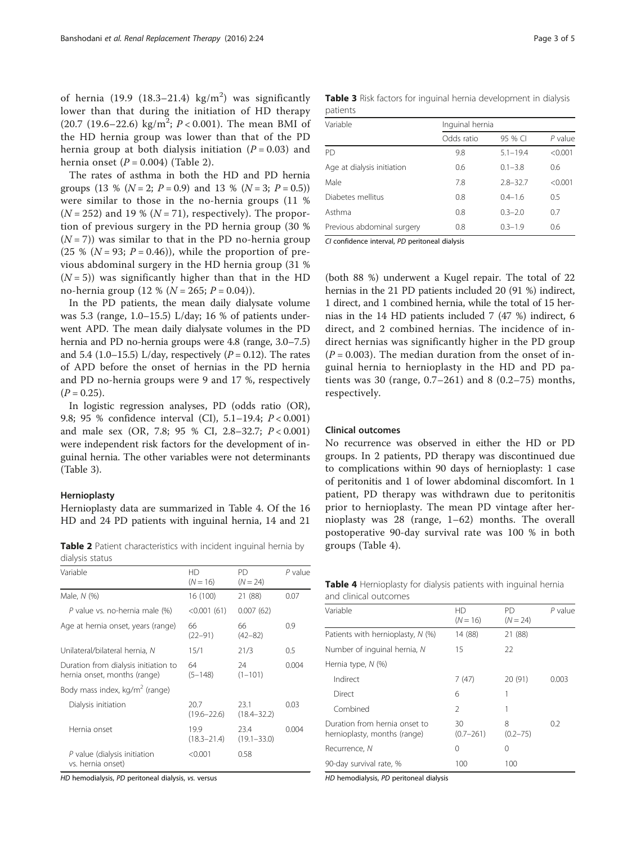of hernia (19.9 (18.3-21.4)  $\text{kg/m}^2$ ) was significantly lower than that during the initiation of HD therapy  $(20.7 \ (19.6 - 22.6) \ kg/m^2; P < 0.001)$ . The mean BMI of the HD hernia group was lower than that of the PD hernia group at both dialysis initiation ( $P = 0.03$ ) and hernia onset  $(P = 0.004)$  (Table 2).

The rates of asthma in both the HD and PD hernia groups (13 % ( $N = 2$ ;  $P = 0.9$ ) and 13 % ( $N = 3$ ;  $P = 0.5$ )) were similar to those in the no-hernia groups (11 %  $(N = 252)$  and 19 %  $(N = 71)$ , respectively). The proportion of previous surgery in the PD hernia group (30 %  $(N = 7)$ ) was similar to that in the PD no-hernia group (25 % ( $N = 93$ ;  $P = 0.46$ )), while the proportion of previous abdominal surgery in the HD hernia group (31 %  $(N = 5)$ ) was significantly higher than that in the HD no-hernia group (12 % ( $N = 265$ ;  $P = 0.04$ )).

In the PD patients, the mean daily dialysate volume was 5.3 (range, 1.0–15.5) L/day; 16 % of patients underwent APD. The mean daily dialysate volumes in the PD hernia and PD no-hernia groups were 4.8 (range, 3.0–7.5) and 5.4 (1.0–15.5) L/day, respectively  $(P = 0.12)$ . The rates of APD before the onset of hernias in the PD hernia and PD no-hernia groups were 9 and 17 %, respectively  $(P = 0.25)$ .

In logistic regression analyses, PD (odds ratio (OR), 9.8; 95 % confidence interval (CI), 5.1–19.4; P < 0.001) and male sex (OR, 7.8; 95 % CI, 2.8–32.7; P < 0.001) were independent risk factors for the development of inguinal hernia. The other variables were not determinants (Table 3).

## Hernioplasty

Hernioplasty data are summarized in Table 4. Of the 16 HD and 24 PD patients with inguinal hernia, 14 and 21

Table 2 Patient characteristics with incident inguinal hernia by groups (Table 4). dialysis status

| Variable                                                             | HD<br>$(N = 16)$        | <b>PD</b><br>$(N = 24)$ | $P$ value |
|----------------------------------------------------------------------|-------------------------|-------------------------|-----------|
| Male, N (%)                                                          | 16 (100)                | 21 (88)                 | 0.07      |
| P value vs. no-hernia male (%)                                       | < 0.001(61)             | 0.007(62)               |           |
| Age at hernia onset, years (range)                                   | 66<br>$(22 - 91)$       | 66<br>$(42 - 82)$       | 0.9       |
| Unilateral/bilateral hernia, N                                       | 15/1                    | 21/3                    | 0.5       |
| Duration from dialysis initiation to<br>hernia onset, months (range) | 64<br>$(5 - 148)$       | 24<br>$(1 - 101)$       | 0.004     |
| Body mass index, kg/m <sup>2</sup> (range)                           |                         |                         |           |
| Dialysis initiation                                                  | 20.7<br>$(19.6 - 22.6)$ | 23.1<br>$(18.4 - 32.2)$ | 0.03      |
| Hernia onset                                                         | 19.9<br>$(18.3 - 21.4)$ | 23.4<br>$(19.1 - 33.0)$ | 0.004     |
| P value (dialysis initiation<br>vs. hernia onset)                    | < 0.001                 | 0.58                    |           |

HD hemodialysis, PD peritoneal dialysis, vs. versus

Table 3 Risk factors for inguinal hernia development in dialysis patients

| Variable                   | Inguinal hernia |              |           |  |
|----------------------------|-----------------|--------------|-----------|--|
|                            | Odds ratio      | 95 % CI      | $P$ value |  |
| PD                         | 9.8             | $5.1 - 19.4$ | < 0.001   |  |
| Age at dialysis initiation | 0.6             | $0.1 - 3.8$  | 0.6       |  |
| Male                       | 7.8             | $2.8 - 32.7$ | < 0.001   |  |
| Diabetes mellitus          | 0.8             | $0.4 - 1.6$  | 0.5       |  |
| Asthma                     | 0.8             | $0.3 - 2.0$  | 0.7       |  |
| Previous abdominal surgery | 0.8             | $0.3 - 1.9$  | 0.6       |  |

CI confidence interval, PD peritoneal dialysis

(both 88 %) underwent a Kugel repair. The total of 22 hernias in the 21 PD patients included 20 (91 %) indirect, 1 direct, and 1 combined hernia, while the total of 15 hernias in the 14 HD patients included 7 (47 %) indirect, 6 direct, and 2 combined hernias. The incidence of indirect hernias was significantly higher in the PD group  $(P = 0.003)$ . The median duration from the onset of inguinal hernia to hernioplasty in the HD and PD patients was 30 (range,  $0.7-261$ ) and 8 (0.2-75) months, respectively.

## Clinical outcomes

No recurrence was observed in either the HD or PD groups. In 2 patients, PD therapy was discontinued due to complications within 90 days of hernioplasty: 1 case of peritonitis and 1 of lower abdominal discomfort. In 1 patient, PD therapy was withdrawn due to peritonitis prior to hernioplasty. The mean PD vintage after hernioplasty was 28 (range, 1–62) months. The overall postoperative 90-day survival rate was 100 % in both

| <b>Table 4</b> Hernioplasty for dialysis patients with inquinal hernia |  |  |  |
|------------------------------------------------------------------------|--|--|--|
| and clinical outcomes                                                  |  |  |  |

| Variable                                                      | HD<br>$(N = 16)$    | <b>PD</b><br>$(N = 24)$ | $P$ value |
|---------------------------------------------------------------|---------------------|-------------------------|-----------|
| Patients with hernioplasty, N (%)                             | 14 (88)             | 21 (88)                 |           |
| Number of inguinal hernia, N                                  | 15                  | 22                      |           |
| Hernia type, $N$ (%)                                          |                     |                         |           |
| Indirect                                                      | 7(47)               | 20 (91)                 | 0.003     |
| Direct                                                        | 6                   |                         |           |
| Combined                                                      | $\mathfrak{D}$      | 1                       |           |
| Duration from hernia onset to<br>hernioplasty, months (range) | 30<br>$(0.7 - 261)$ | 8<br>$(0.2 - 75)$       | 0.2       |
| Recurrence, N                                                 | 0                   | 0                       |           |
| 90-day survival rate, %                                       | 100                 | 100                     |           |

HD hemodialysis, PD peritoneal dialysis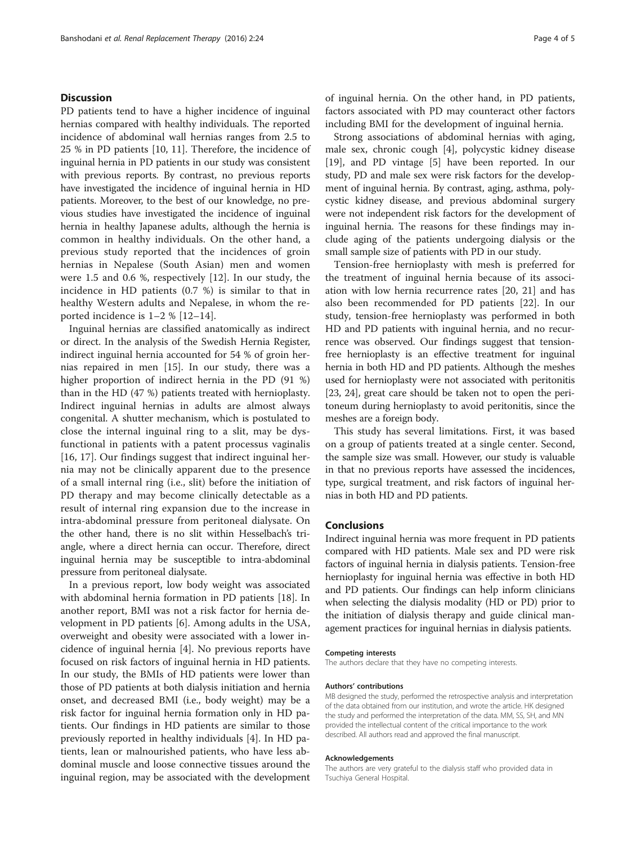## **Discussion**

PD patients tend to have a higher incidence of inguinal hernias compared with healthy individuals. The reported incidence of abdominal wall hernias ranges from 2.5 to 25 % in PD patients [\[10](#page-4-0), [11](#page-4-0)]. Therefore, the incidence of inguinal hernia in PD patients in our study was consistent with previous reports. By contrast, no previous reports have investigated the incidence of inguinal hernia in HD patients. Moreover, to the best of our knowledge, no previous studies have investigated the incidence of inguinal hernia in healthy Japanese adults, although the hernia is common in healthy individuals. On the other hand, a previous study reported that the incidences of groin hernias in Nepalese (South Asian) men and women were 1.5 and 0.6 %, respectively [\[12](#page-4-0)]. In our study, the incidence in HD patients (0.7 %) is similar to that in healthy Western adults and Nepalese, in whom the reported incidence is 1–2 % [[12](#page-4-0)–[14](#page-4-0)].

Inguinal hernias are classified anatomically as indirect or direct. In the analysis of the Swedish Hernia Register, indirect inguinal hernia accounted for 54 % of groin hernias repaired in men [[15](#page-4-0)]. In our study, there was a higher proportion of indirect hernia in the PD (91 %) than in the HD (47 %) patients treated with hernioplasty. Indirect inguinal hernias in adults are almost always congenital. A shutter mechanism, which is postulated to close the internal inguinal ring to a slit, may be dysfunctional in patients with a patent processus vaginalis [[16, 17](#page-4-0)]. Our findings suggest that indirect inguinal hernia may not be clinically apparent due to the presence of a small internal ring (i.e., slit) before the initiation of PD therapy and may become clinically detectable as a result of internal ring expansion due to the increase in intra-abdominal pressure from peritoneal dialysate. On the other hand, there is no slit within Hesselbach's triangle, where a direct hernia can occur. Therefore, direct inguinal hernia may be susceptible to intra-abdominal pressure from peritoneal dialysate.

In a previous report, low body weight was associated with abdominal hernia formation in PD patients [\[18](#page-4-0)]. In another report, BMI was not a risk factor for hernia development in PD patients [[6\]](#page-4-0). Among adults in the USA, overweight and obesity were associated with a lower incidence of inguinal hernia [\[4](#page-4-0)]. No previous reports have focused on risk factors of inguinal hernia in HD patients. In our study, the BMIs of HD patients were lower than those of PD patients at both dialysis initiation and hernia onset, and decreased BMI (i.e., body weight) may be a risk factor for inguinal hernia formation only in HD patients. Our findings in HD patients are similar to those previously reported in healthy individuals [\[4\]](#page-4-0). In HD patients, lean or malnourished patients, who have less abdominal muscle and loose connective tissues around the inguinal region, may be associated with the development of inguinal hernia. On the other hand, in PD patients, factors associated with PD may counteract other factors including BMI for the development of inguinal hernia.

Strong associations of abdominal hernias with aging, male sex, chronic cough [\[4\]](#page-4-0), polycystic kidney disease [[19\]](#page-4-0), and PD vintage [\[5](#page-4-0)] have been reported. In our study, PD and male sex were risk factors for the development of inguinal hernia. By contrast, aging, asthma, polycystic kidney disease, and previous abdominal surgery were not independent risk factors for the development of inguinal hernia. The reasons for these findings may include aging of the patients undergoing dialysis or the small sample size of patients with PD in our study.

Tension-free hernioplasty with mesh is preferred for the treatment of inguinal hernia because of its association with low hernia recurrence rates [\[20](#page-4-0), [21\]](#page-4-0) and has also been recommended for PD patients [\[22\]](#page-4-0). In our study, tension-free hernioplasty was performed in both HD and PD patients with inguinal hernia, and no recurrence was observed. Our findings suggest that tensionfree hernioplasty is an effective treatment for inguinal hernia in both HD and PD patients. Although the meshes used for hernioplasty were not associated with peritonitis [[23](#page-4-0), [24\]](#page-4-0), great care should be taken not to open the peritoneum during hernioplasty to avoid peritonitis, since the meshes are a foreign body.

This study has several limitations. First, it was based on a group of patients treated at a single center. Second, the sample size was small. However, our study is valuable in that no previous reports have assessed the incidences, type, surgical treatment, and risk factors of inguinal hernias in both HD and PD patients.

### Conclusions

Indirect inguinal hernia was more frequent in PD patients compared with HD patients. Male sex and PD were risk factors of inguinal hernia in dialysis patients. Tension-free hernioplasty for inguinal hernia was effective in both HD and PD patients. Our findings can help inform clinicians when selecting the dialysis modality (HD or PD) prior to the initiation of dialysis therapy and guide clinical management practices for inguinal hernias in dialysis patients.

#### Competing interests

The authors declare that they have no competing interests.

#### Authors' contributions

MB designed the study, performed the retrospective analysis and interpretation of the data obtained from our institution, and wrote the article. HK designed the study and performed the interpretation of the data. MM, SS, SH, and MN provided the intellectual content of the critical importance to the work described. All authors read and approved the final manuscript.

#### Acknowledgements

The authors are very grateful to the dialysis staff who provided data in Tsuchiya General Hospital.